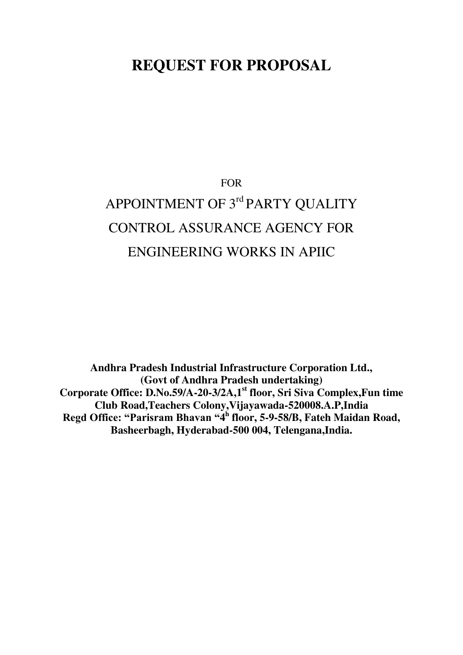# **REQUEST FOR PROPOSAL**

# FOR APPOINTMENT OF 3rd PARTY QUALITY CONTROL ASSURANCE AGENCY FOR ENGINEERING WORKS IN APIIC

**Andhra Pradesh Industrial Infrastructure Corporation Ltd., (Govt of Andhra Pradesh undertaking) Corporate Office: D.No.59/A-20-3/2A,1st floor, Sri Siva Complex,Fun time Club Road,Teachers Colony,Vijayawada-520008.A.P,India Regd Office: "Parisram Bhavan "4 h floor, 5-9-58/B, Fateh Maidan Road, Basheerbagh, Hyderabad-500 004, Telengana,India.**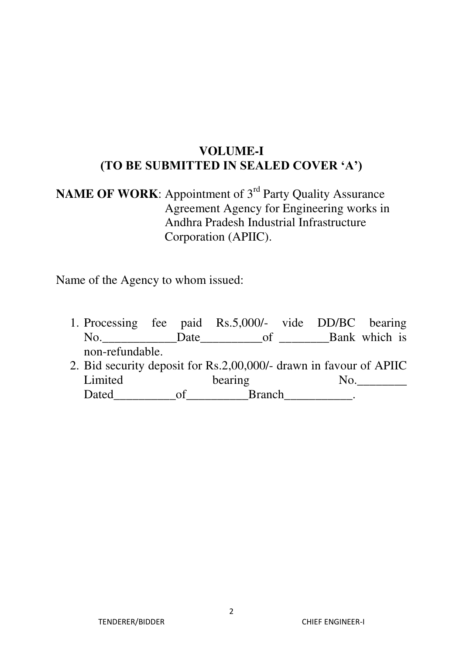# **VOLUME-I (TO BE SUBMITTED IN SEALED COVER 'A')**

# **NAME OF WORK:** Appointment of 3<sup>rd</sup> Party Quality Assurance Agreement Agency for Engineering works in Andhra Pradesh Industrial Infrastructure Corporation (APIIC).

Name of the Agency to whom issued:

1. Processing fee paid Rs.5,000/- vide DD/BC bearing No. Date Date of Bank which is non-refundable. 2. Bid security deposit for Rs.2,00,000/- drawn in favour of APIIC Limited bearing No. Dated\_\_\_\_\_\_\_\_\_\_of\_\_\_\_\_\_\_\_\_\_Branch\_\_\_\_\_\_\_\_\_\_\_.

TENDERER/BIDDER CHIEF ENGINEER-I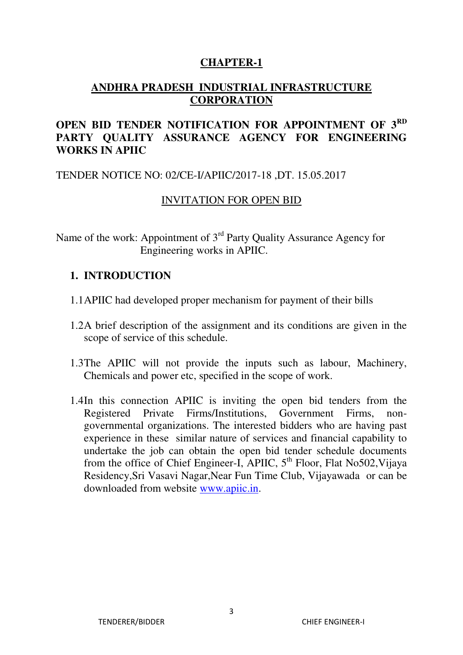#### **CHAPTER-1**

## **ANDHRA PRADESH INDUSTRIAL INFRASTRUCTURE CORPORATION**

## **OPEN BID TENDER NOTIFICATION FOR APPOINTMENT OF 3RD PARTY QUALITY ASSURANCE AGENCY FOR ENGINEERING WORKS IN APIIC**

#### TENDER NOTICE NO: 02/CE-I/APIIC/2017-18 ,DT. 15.05.2017

#### INVITATION FOR OPEN BID

Name of the work: Appointment of 3<sup>rd</sup> Party Quality Assurance Agency for Engineering works in APIIC.

#### **1. INTRODUCTION**

- 1.1APIIC had developed proper mechanism for payment of their bills
- 1.2A brief description of the assignment and its conditions are given in the scope of service of this schedule.
- 1.3The APIIC will not provide the inputs such as labour, Machinery, Chemicals and power etc, specified in the scope of work.
- 1.4In this connection APIIC is inviting the open bid tenders from the Registered Private Firms/Institutions, Government Firms, nongovernmental organizations. The interested bidders who are having past experience in these similar nature of services and financial capability to undertake the job can obtain the open bid tender schedule documents from the office of Chief Engineer-I, APIIC, 5<sup>th</sup> Floor, Flat No502, Vijaya Residency,Sri Vasavi Nagar,Near Fun Time Club, Vijayawada or can be downloaded from website [www.apiic.in.](http://www.apiic.in/)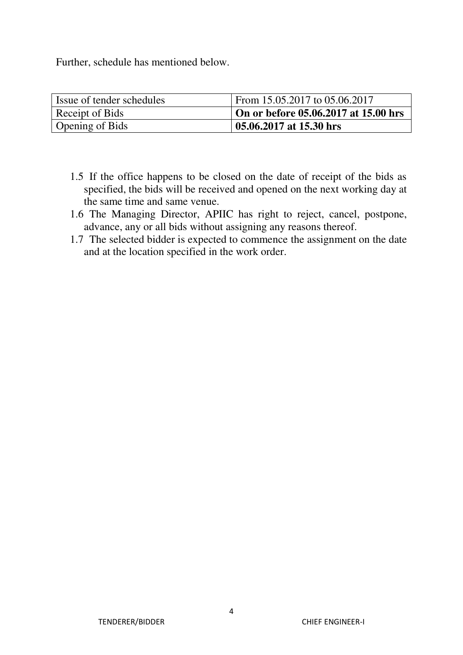Further, schedule has mentioned below.

| Issue of tender schedules | From 15.05.2017 to 05.06.2017        |
|---------------------------|--------------------------------------|
| Receipt of Bids           | On or before 05.06.2017 at 15.00 hrs |
| Opening of Bids           | 05.06.2017 at 15.30 hrs              |

- 1.5 If the office happens to be closed on the date of receipt of the bids as specified, the bids will be received and opened on the next working day at the same time and same venue.
- 1.6 The Managing Director, APIIC has right to reject, cancel, postpone, advance, any or all bids without assigning any reasons thereof.
- 1.7 The selected bidder is expected to commence the assignment on the date and at the location specified in the work order.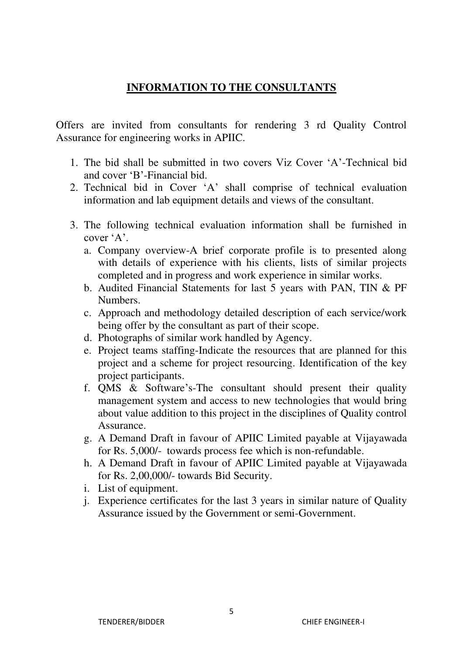## **INFORMATION TO THE CONSULTANTS**

Offers are invited from consultants for rendering 3 rd Quality Control Assurance for engineering works in APIIC.

- 1. The bid shall be submitted in two covers Viz Cover 'A'-Technical bid and cover 'B'-Financial bid.
- 2. Technical bid in Cover 'A' shall comprise of technical evaluation information and lab equipment details and views of the consultant.
- 3. The following technical evaluation information shall be furnished in cover 'A'.
	- a. Company overview-A brief corporate profile is to presented along with details of experience with his clients, lists of similar projects completed and in progress and work experience in similar works.
	- b. Audited Financial Statements for last 5 years with PAN, TIN & PF Numbers.
	- c. Approach and methodology detailed description of each service/work being offer by the consultant as part of their scope.
	- d. Photographs of similar work handled by Agency.
	- e. Project teams staffing-Indicate the resources that are planned for this project and a scheme for project resourcing. Identification of the key project participants.
	- f. QMS & Software's-The consultant should present their quality management system and access to new technologies that would bring about value addition to this project in the disciplines of Quality control Assurance.
	- g. A Demand Draft in favour of APIIC Limited payable at Vijayawada for Rs. 5,000/- towards process fee which is non-refundable.
	- h. A Demand Draft in favour of APIIC Limited payable at Vijayawada for Rs. 2,00,000/- towards Bid Security.
	- i. List of equipment.
	- j. Experience certificates for the last 3 years in similar nature of Quality Assurance issued by the Government or semi-Government.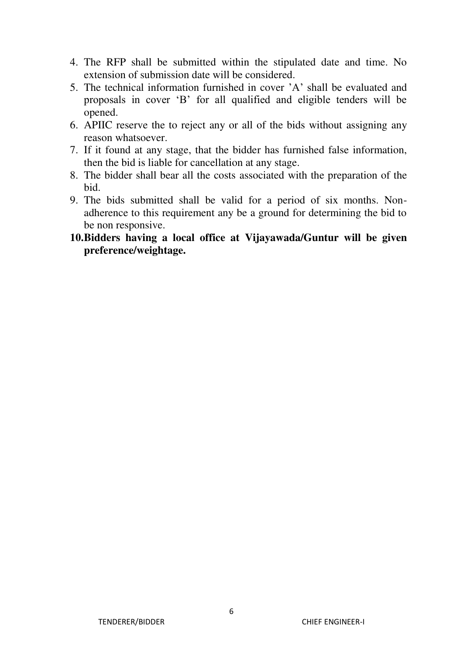- 4. The RFP shall be submitted within the stipulated date and time. No extension of submission date will be considered.
- 5. The technical information furnished in cover 'A' shall be evaluated and proposals in cover 'B' for all qualified and eligible tenders will be opened.
- 6. APIIC reserve the to reject any or all of the bids without assigning any reason whatsoever.
- 7. If it found at any stage, that the bidder has furnished false information, then the bid is liable for cancellation at any stage.
- 8. The bidder shall bear all the costs associated with the preparation of the bid.
- 9. The bids submitted shall be valid for a period of six months. Nonadherence to this requirement any be a ground for determining the bid to be non responsive.
- **10.Bidders having a local office at Vijayawada/Guntur will be given preference/weightage.**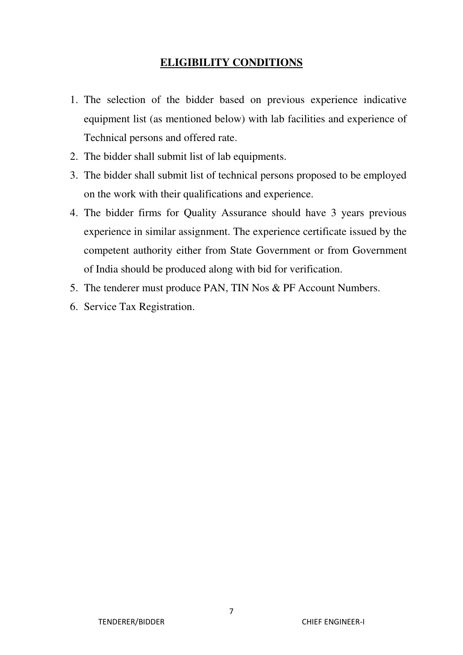## **ELIGIBILITY CONDITIONS**

- 1. The selection of the bidder based on previous experience indicative equipment list (as mentioned below) with lab facilities and experience of Technical persons and offered rate.
- 2. The bidder shall submit list of lab equipments.
- 3. The bidder shall submit list of technical persons proposed to be employed on the work with their qualifications and experience.
- 4. The bidder firms for Quality Assurance should have 3 years previous experience in similar assignment. The experience certificate issued by the competent authority either from State Government or from Government of India should be produced along with bid for verification.
- 5. The tenderer must produce PAN, TIN Nos & PF Account Numbers.
- 6. Service Tax Registration.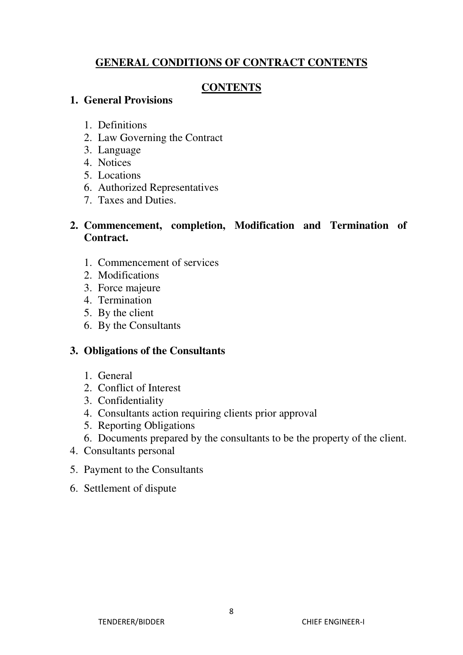## **GENERAL CONDITIONS OF CONTRACT CONTENTS**

## **CONTENTS**

## **1. General Provisions**

- 1. Definitions
- 2. Law Governing the Contract
- 3. Language
- 4. Notices
- 5. Locations
- 6. Authorized Representatives
- 7. Taxes and Duties.

## **2. Commencement, completion, Modification and Termination of Contract.**

- 1. Commencement of services
- 2. Modifications
- 3. Force majeure
- 4. Termination
- 5. By the client
- 6. By the Consultants

## **3. Obligations of the Consultants**

- 1. General
- 2. Conflict of Interest
- 3. Confidentiality
- 4. Consultants action requiring clients prior approval
- 5. Reporting Obligations
- 6. Documents prepared by the consultants to be the property of the client.
- 4. Consultants personal
- 5. Payment to the Consultants
- 6. Settlement of dispute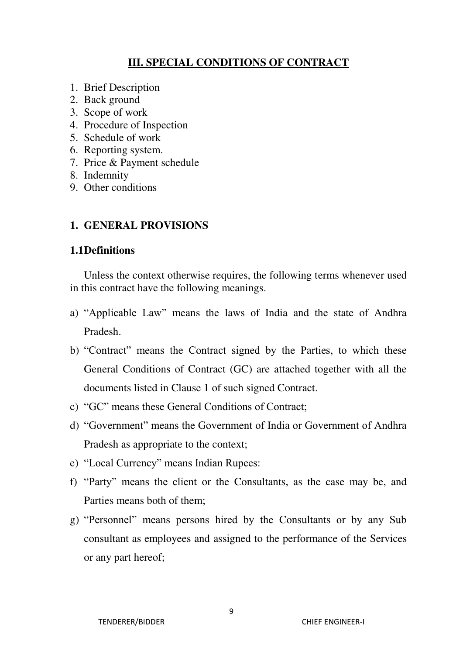## **III. SPECIAL CONDITIONS OF CONTRACT**

- 1. Brief Description
- 2. Back ground
- 3. Scope of work
- 4. Procedure of Inspection
- 5. Schedule of work
- 6. Reporting system.
- 7. Price & Payment schedule
- 8. Indemnity
- 9. Other conditions

#### **1. GENERAL PROVISIONS**

#### **1.1Definitions**

Unless the context otherwise requires, the following terms whenever used in this contract have the following meanings.

- a) "Applicable Law" means the laws of India and the state of Andhra Pradesh.
- b) "Contract" means the Contract signed by the Parties, to which these General Conditions of Contract (GC) are attached together with all the documents listed in Clause 1 of such signed Contract.
- c) "GC" means these General Conditions of Contract;
- d) "Government" means the Government of India or Government of Andhra Pradesh as appropriate to the context;
- e) "Local Currency" means Indian Rupees:
- f) "Party" means the client or the Consultants, as the case may be, and Parties means both of them;
- g) "Personnel" means persons hired by the Consultants or by any Sub consultant as employees and assigned to the performance of the Services or any part hereof;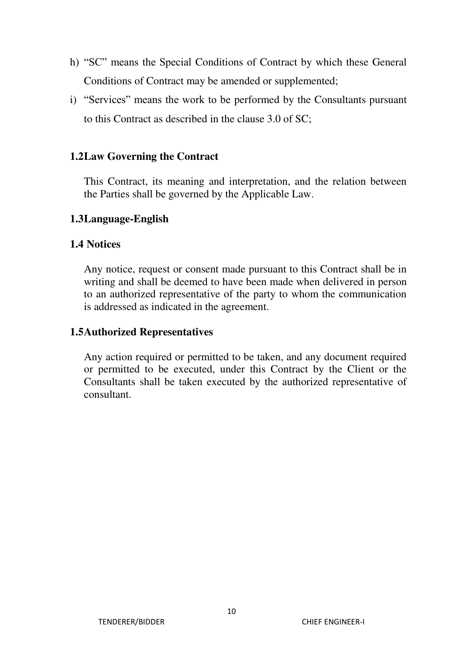- h) "SC" means the Special Conditions of Contract by which these General Conditions of Contract may be amended or supplemented;
- i) "Services" means the work to be performed by the Consultants pursuant to this Contract as described in the clause 3.0 of SC;

## **1.2Law Governing the Contract**

This Contract, its meaning and interpretation, and the relation between the Parties shall be governed by the Applicable Law.

#### **1.3Language-English**

#### **1.4 Notices**

Any notice, request or consent made pursuant to this Contract shall be in writing and shall be deemed to have been made when delivered in person to an authorized representative of the party to whom the communication is addressed as indicated in the agreement.

#### **1.5Authorized Representatives**

Any action required or permitted to be taken, and any document required or permitted to be executed, under this Contract by the Client or the Consultants shall be taken executed by the authorized representative of consultant.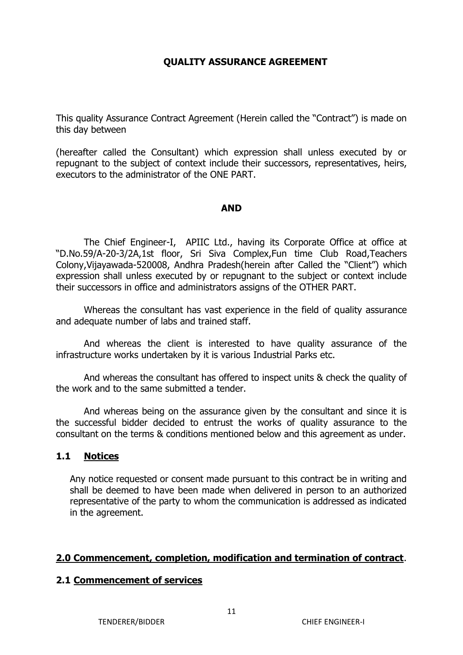#### **QUALITY ASSURANCE AGREEMENT**

This quality Assurance Contract Agreement (Herein called the "Contract") is made on this day between

(hereafter called the Consultant) which expression shall unless executed by or repugnant to the subject of context include their successors, representatives, heirs, executors to the administrator of the ONE PART.

#### **AND**

The Chief Engineer-I, APIIC Ltd., having its Corporate Office at office at "D.No.59/A-20-3/2A,1st floor, Sri Siva Complex,Fun time Club Road,Teachers Colony,Vijayawada-520008, Andhra Pradesh(herein after Called the "Client") which expression shall unless executed by or repugnant to the subject or context include their successors in office and administrators assigns of the OTHER PART.

Whereas the consultant has vast experience in the field of quality assurance and adequate number of labs and trained staff.

And whereas the client is interested to have quality assurance of the infrastructure works undertaken by it is various Industrial Parks etc.

And whereas the consultant has offered to inspect units & check the quality of the work and to the same submitted a tender.

And whereas being on the assurance given by the consultant and since it is the successful bidder decided to entrust the works of quality assurance to the consultant on the terms & conditions mentioned below and this agreement as under.

#### **1.1 Notices**

Any notice requested or consent made pursuant to this contract be in writing and shall be deemed to have been made when delivered in person to an authorized representative of the party to whom the communication is addressed as indicated in the agreement.

#### **2.0 Commencement, completion, modification and termination of contract**.

#### **2.1 Commencement of services**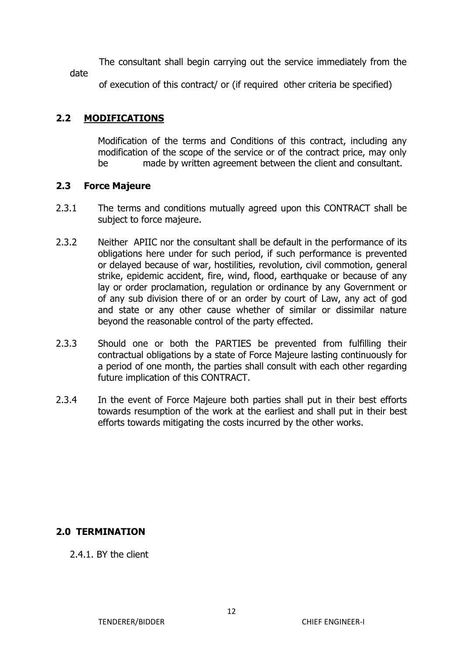The consultant shall begin carrying out the service immediately from the date

of execution of this contract/ or (if required other criteria be specified)

## **2.2 MODIFICATIONS**

Modification of the terms and Conditions of this contract, including any modification of the scope of the service or of the contract price, may only be made by written agreement between the client and consultant.

#### **2.3 Force Majeure**

- 2.3.1 The terms and conditions mutually agreed upon this CONTRACT shall be subject to force majeure.
- 2.3.2 Neither APIIC nor the consultant shall be default in the performance of its obligations here under for such period, if such performance is prevented or delayed because of war, hostilities, revolution, civil commotion, general strike, epidemic accident, fire, wind, flood, earthquake or because of any lay or order proclamation, regulation or ordinance by any Government or of any sub division there of or an order by court of Law, any act of god and state or any other cause whether of similar or dissimilar nature beyond the reasonable control of the party effected.
- 2.3.3 Should one or both the PARTIES be prevented from fulfilling their contractual obligations by a state of Force Majeure lasting continuously for a period of one month, the parties shall consult with each other regarding future implication of this CONTRACT.
- 2.3.4 In the event of Force Majeure both parties shall put in their best efforts towards resumption of the work at the earliest and shall put in their best efforts towards mitigating the costs incurred by the other works.

#### **2.0 TERMINATION**

2.4.1. BY the client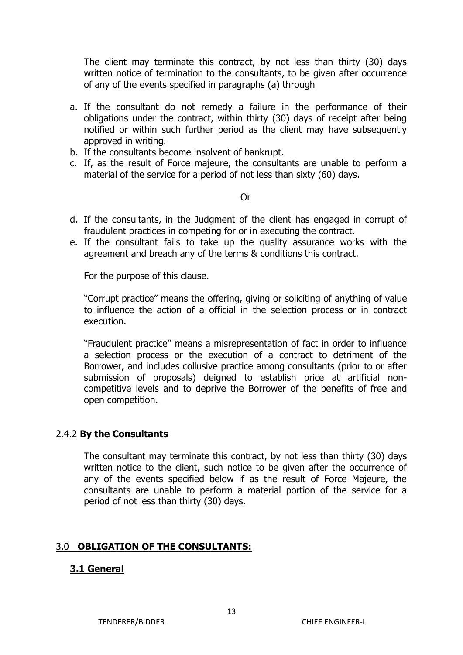The client may terminate this contract, by not less than thirty (30) days written notice of termination to the consultants, to be given after occurrence of any of the events specified in paragraphs (a) through

- a. If the consultant do not remedy a failure in the performance of their obligations under the contract, within thirty (30) days of receipt after being notified or within such further period as the client may have subsequently approved in writing.
- b. If the consultants become insolvent of bankrupt.
- c. If, as the result of Force majeure, the consultants are unable to perform a material of the service for a period of not less than sixty (60) days.

Or

- d. If the consultants, in the Judgment of the client has engaged in corrupt of fraudulent practices in competing for or in executing the contract.
- e. If the consultant fails to take up the quality assurance works with the agreement and breach any of the terms & conditions this contract.

For the purpose of this clause.

"Corrupt practice" means the offering, giving or soliciting of anything of value to influence the action of a official in the selection process or in contract execution.

"Fraudulent practice" means a misrepresentation of fact in order to influence a selection process or the execution of a contract to detriment of the Borrower, and includes collusive practice among consultants (prior to or after submission of proposals) deigned to establish price at artificial noncompetitive levels and to deprive the Borrower of the benefits of free and open competition.

#### 2.4.2 **By the Consultants**

The consultant may terminate this contract, by not less than thirty (30) days written notice to the client, such notice to be given after the occurrence of any of the events specified below if as the result of Force Majeure, the consultants are unable to perform a material portion of the service for a period of not less than thirty (30) days.

#### 3.0 **OBLIGATION OF THE CONSULTANTS:**

#### **3.1 General**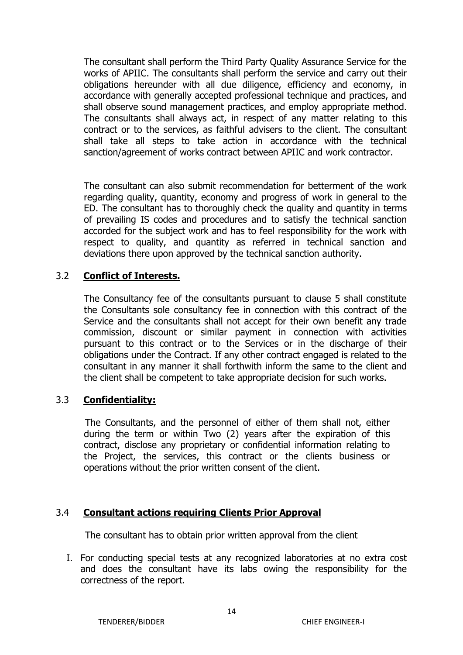The consultant shall perform the Third Party Quality Assurance Service for the works of APIIC. The consultants shall perform the service and carry out their obligations hereunder with all due diligence, efficiency and economy, in accordance with generally accepted professional technique and practices, and shall observe sound management practices, and employ appropriate method. The consultants shall always act, in respect of any matter relating to this contract or to the services, as faithful advisers to the client. The consultant shall take all steps to take action in accordance with the technical sanction/agreement of works contract between APIIC and work contractor.

The consultant can also submit recommendation for betterment of the work regarding quality, quantity, economy and progress of work in general to the ED. The consultant has to thoroughly check the quality and quantity in terms of prevailing IS codes and procedures and to satisfy the technical sanction accorded for the subject work and has to feel responsibility for the work with respect to quality, and quantity as referred in technical sanction and deviations there upon approved by the technical sanction authority.

## 3.2 **Conflict of Interests.**

The Consultancy fee of the consultants pursuant to clause 5 shall constitute the Consultants sole consultancy fee in connection with this contract of the Service and the consultants shall not accept for their own benefit any trade commission, discount or similar payment in connection with activities pursuant to this contract or to the Services or in the discharge of their obligations under the Contract. If any other contract engaged is related to the consultant in any manner it shall forthwith inform the same to the client and the client shall be competent to take appropriate decision for such works.

#### 3.3 **Confidentiality:**

 The Consultants, and the personnel of either of them shall not, either during the term or within Two (2) years after the expiration of this contract, disclose any proprietary or confidential information relating to the Project, the services, this contract or the clients business or operations without the prior written consent of the client.

#### 3.4 **Consultant actions requiring Clients Prior Approval**

The consultant has to obtain prior written approval from the client

I. For conducting special tests at any recognized laboratories at no extra cost and does the consultant have its labs owing the responsibility for the correctness of the report.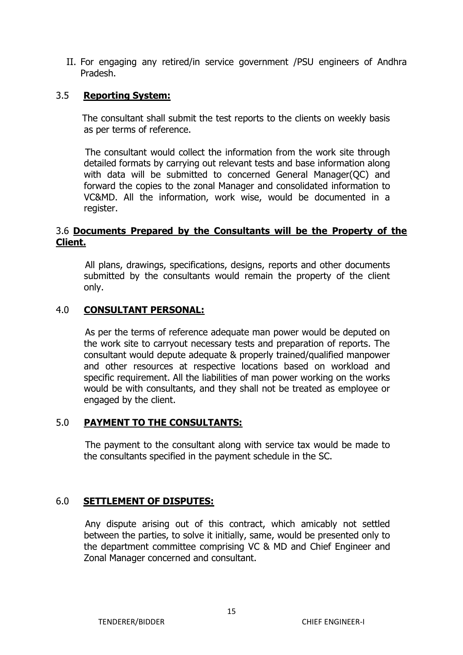II. For engaging any retired/in service government /PSU engineers of Andhra Pradesh.

#### 3.5 **Reporting System:**

 The consultant shall submit the test reports to the clients on weekly basis as per terms of reference.

 The consultant would collect the information from the work site through detailed formats by carrying out relevant tests and base information along with data will be submitted to concerned General Manager(QC) and forward the copies to the zonal Manager and consolidated information to VC&MD. All the information, work wise, would be documented in a register.

#### 3.6 **Documents Prepared by the Consultants will be the Property of the Client.**

 All plans, drawings, specifications, designs, reports and other documents submitted by the consultants would remain the property of the client only.

#### 4.0 **CONSULTANT PERSONAL:**

 As per the terms of reference adequate man power would be deputed on the work site to carryout necessary tests and preparation of reports. The consultant would depute adequate & properly trained/qualified manpower and other resources at respective locations based on workload and specific requirement. All the liabilities of man power working on the works would be with consultants, and they shall not be treated as employee or engaged by the client.

#### 5.0 **PAYMENT TO THE CONSULTANTS:**

 The payment to the consultant along with service tax would be made to the consultants specified in the payment schedule in the SC.

#### 6.0 **SETTLEMENT OF DISPUTES:**

 Any dispute arising out of this contract, which amicably not settled between the parties, to solve it initially, same, would be presented only to the department committee comprising VC & MD and Chief Engineer and Zonal Manager concerned and consultant.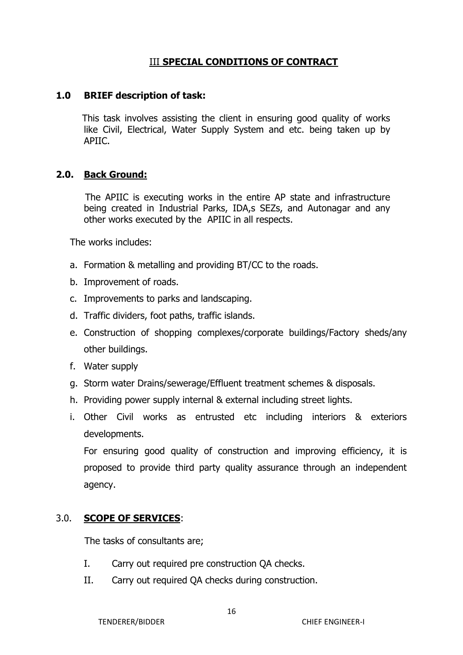## III **SPECIAL CONDITIONS OF CONTRACT**

#### **1.0 BRIEF description of task:**

 This task involves assisting the client in ensuring good quality of works like Civil, Electrical, Water Supply System and etc. being taken up by APIIC.

#### **2.0. Back Ground:**

 The APIIC is executing works in the entire AP state and infrastructure being created in Industrial Parks, IDA,s SEZs, and Autonagar and any other works executed by the APIIC in all respects.

The works includes:

- a. Formation & metalling and providing BT/CC to the roads.
- b. Improvement of roads.
- c. Improvements to parks and landscaping.
- d. Traffic dividers, foot paths, traffic islands.
- e. Construction of shopping complexes/corporate buildings/Factory sheds/any other buildings.
- f. Water supply
- g. Storm water Drains/sewerage/Effluent treatment schemes & disposals.
- h. Providing power supply internal & external including street lights.
- i. Other Civil works as entrusted etc including interiors & exteriors developments.

For ensuring good quality of construction and improving efficiency, it is proposed to provide third party quality assurance through an independent agency.

#### 3.0. **SCOPE OF SERVICES**:

The tasks of consultants are;

- I. Carry out required pre construction QA checks.
- II. Carry out required QA checks during construction.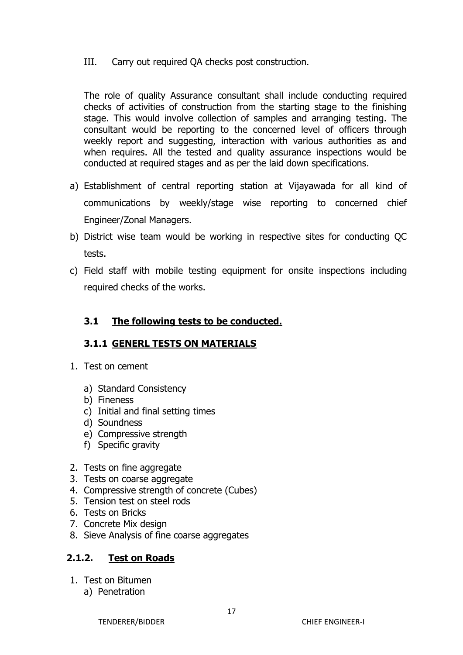III. Carry out required QA checks post construction.

The role of quality Assurance consultant shall include conducting required checks of activities of construction from the starting stage to the finishing stage. This would involve collection of samples and arranging testing. The consultant would be reporting to the concerned level of officers through weekly report and suggesting, interaction with various authorities as and when requires. All the tested and quality assurance inspections would be conducted at required stages and as per the laid down specifications.

- a) Establishment of central reporting station at Vijayawada for all kind of communications by weekly/stage wise reporting to concerned chief Engineer/Zonal Managers.
- b) District wise team would be working in respective sites for conducting QC tests.
- c) Field staff with mobile testing equipment for onsite inspections including required checks of the works.

## **3.1 The following tests to be conducted.**

## **3.1.1 GENERL TESTS ON MATERIALS**

- 1. Test on cement
	- a) Standard Consistency
	- b) Fineness
	- c) Initial and final setting times
	- d) Soundness
	- e) Compressive strength
	- f) Specific gravity
- 2. Tests on fine aggregate
- 3. Tests on coarse aggregate
- 4. Compressive strength of concrete (Cubes)
- 5. Tension test on steel rods
- 6. Tests on Bricks
- 7. Concrete Mix design
- 8. Sieve Analysis of fine coarse aggregates

## **2.1.2. Test on Roads**

- 1. Test on Bitumen
	- a) Penetration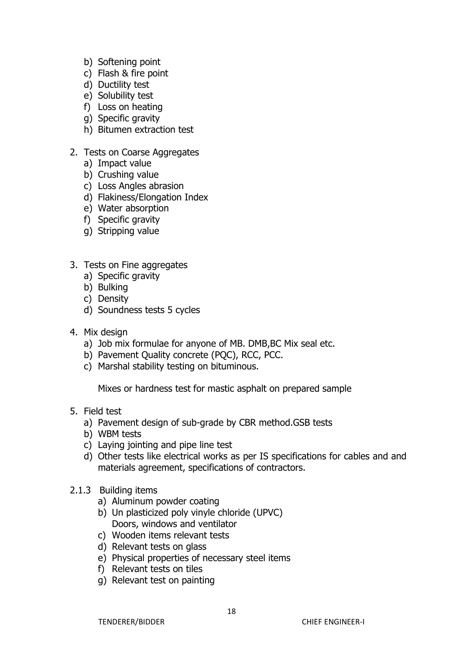- b) Softening point
- c) Flash & fire point
- d) Ductility test
- e) Solubility test
- f) Loss on heating
- g) Specific gravity
- h) Bitumen extraction test
- 2. Tests on Coarse Aggregates
	- a) Impact value
	- b) Crushing value
	- c) Loss Angles abrasion
	- d) Flakiness/Elongation Index
	- e) Water absorption
	- f) Specific gravity
	- g) Stripping value
- 3. Tests on Fine aggregates
	- a) Specific gravity
	- b) Bulking
	- c) Density
	- d) Soundness tests 5 cycles
- 4. Mix design
	- a) Job mix formulae for anyone of MB. DMB,BC Mix seal etc.
	- b) Pavement Quality concrete (PQC), RCC, PCC.
	- c) Marshal stability testing on bituminous.

Mixes or hardness test for mastic asphalt on prepared sample

- 5. Field test
	- a) Pavement design of sub-grade by CBR method.GSB tests
	- b) WBM tests
	- c) Laying jointing and pipe line test
	- d) Other tests like electrical works as per IS specifications for cables and and materials agreement, specifications of contractors.
- 2.1.3 Building items
	- a) Aluminum powder coating
	- b) Un plasticized poly vinyle chloride (UPVC) Doors, windows and ventilator
	- c) Wooden items relevant tests
	- d) Relevant tests on glass
	- e) Physical properties of necessary steel items
	- f) Relevant tests on tiles
	- g) Relevant test on painting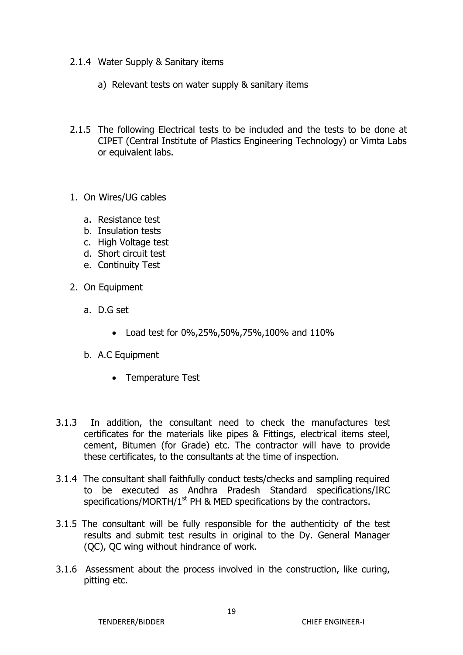- 2.1.4 Water Supply & Sanitary items
	- a) Relevant tests on water supply & sanitary items
- 2.1.5 The following Electrical tests to be included and the tests to be done at CIPET (Central Institute of Plastics Engineering Technology) or Vimta Labs or equivalent labs.
- 1. On Wires/UG cables
	- a. Resistance test
	- b. Insulation tests
	- c. High Voltage test
	- d. Short circuit test
	- e. Continuity Test
- 2. On Equipment
	- a. D.G set
		- Load test for 0%,25%,50%,75%,100% and 110%
	- b. A.C Equipment
		- Temperature Test
- 3.1.3 In addition, the consultant need to check the manufactures test certificates for the materials like pipes & Fittings, electrical items steel, cement, Bitumen (for Grade) etc. The contractor will have to provide these certificates, to the consultants at the time of inspection.
- 3.1.4 The consultant shall faithfully conduct tests/checks and sampling required to be executed as Andhra Pradesh Standard specifications/IRC specifications/MORTH/ $1<sup>st</sup>$  PH & MED specifications by the contractors.
- 3.1.5 The consultant will be fully responsible for the authenticity of the test results and submit test results in original to the Dy. General Manager (QC), QC wing without hindrance of work.
- 3.1.6 Assessment about the process involved in the construction, like curing, pitting etc.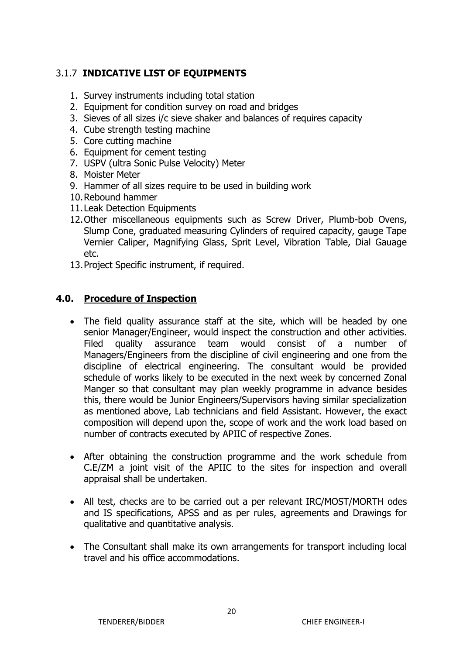## 3.1.7 **INDICATIVE LIST OF EQUIPMENTS**

- 1. Survey instruments including total station
- 2. Equipment for condition survey on road and bridges
- 3. Sieves of all sizes i/c sieve shaker and balances of requires capacity
- 4. Cube strength testing machine
- 5. Core cutting machine
- 6. Equipment for cement testing
- 7. USPV (ultra Sonic Pulse Velocity) Meter
- 8. Moister Meter
- 9. Hammer of all sizes require to be used in building work
- 10.Rebound hammer
- 11.Leak Detection Equipments
- 12.Other miscellaneous equipments such as Screw Driver, Plumb-bob Ovens, Slump Cone, graduated measuring Cylinders of required capacity, gauge Tape Vernier Caliper, Magnifying Glass, Sprit Level, Vibration Table, Dial Gauage etc.
- 13.Project Specific instrument, if required.

#### **4.0. Procedure of Inspection**

- The field quality assurance staff at the site, which will be headed by one senior Manager/Engineer, would inspect the construction and other activities. Filed quality assurance team would consist of a number of Managers/Engineers from the discipline of civil engineering and one from the discipline of electrical engineering. The consultant would be provided schedule of works likely to be executed in the next week by concerned Zonal Manger so that consultant may plan weekly programme in advance besides this, there would be Junior Engineers/Supervisors having similar specialization as mentioned above, Lab technicians and field Assistant. However, the exact composition will depend upon the, scope of work and the work load based on number of contracts executed by APIIC of respective Zones.
- After obtaining the construction programme and the work schedule from C.E/ZM a joint visit of the APIIC to the sites for inspection and overall appraisal shall be undertaken.
- All test, checks are to be carried out a per relevant IRC/MOST/MORTH odes and IS specifications, APSS and as per rules, agreements and Drawings for qualitative and quantitative analysis.
- The Consultant shall make its own arrangements for transport including local travel and his office accommodations.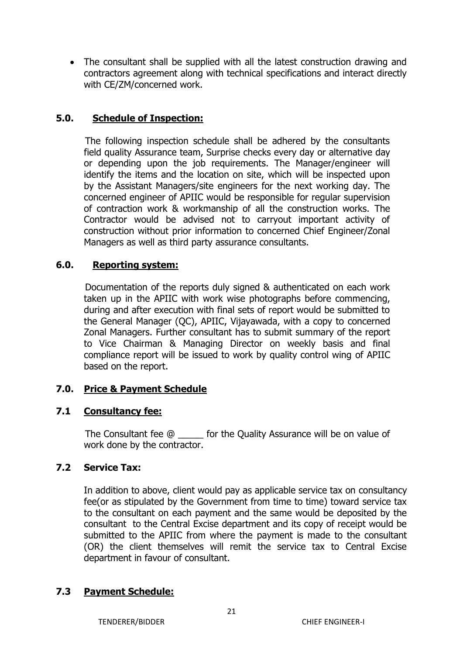The consultant shall be supplied with all the latest construction drawing and contractors agreement along with technical specifications and interact directly with CE/ZM/concerned work.

#### **5.0. Schedule of Inspection:**

 The following inspection schedule shall be adhered by the consultants field quality Assurance team, Surprise checks every day or alternative day or depending upon the job requirements. The Manager/engineer will identify the items and the location on site, which will be inspected upon by the Assistant Managers/site engineers for the next working day. The concerned engineer of APIIC would be responsible for regular supervision of contraction work & workmanship of all the construction works. The Contractor would be advised not to carryout important activity of construction without prior information to concerned Chief Engineer/Zonal Managers as well as third party assurance consultants.

#### **6.0. Reporting system:**

 Documentation of the reports duly signed & authenticated on each work taken up in the APIIC with work wise photographs before commencing, during and after execution with final sets of report would be submitted to the General Manager (QC), APIIC, Vijayawada, with a copy to concerned Zonal Managers. Further consultant has to submit summary of the report to Vice Chairman & Managing Director on weekly basis and final compliance report will be issued to work by quality control wing of APIIC based on the report.

## **7.0. Price & Payment Schedule**

#### **7.1 Consultancy fee:**

 The Consultant fee @ \_\_\_\_\_ for the Quality Assurance will be on value of work done by the contractor.

#### **7.2 Service Tax:**

In addition to above, client would pay as applicable service tax on consultancy fee(or as stipulated by the Government from time to time) toward service tax to the consultant on each payment and the same would be deposited by the consultant to the Central Excise department and its copy of receipt would be submitted to the APIIC from where the payment is made to the consultant (OR) the client themselves will remit the service tax to Central Excise department in favour of consultant.

#### **7.3 Payment Schedule:**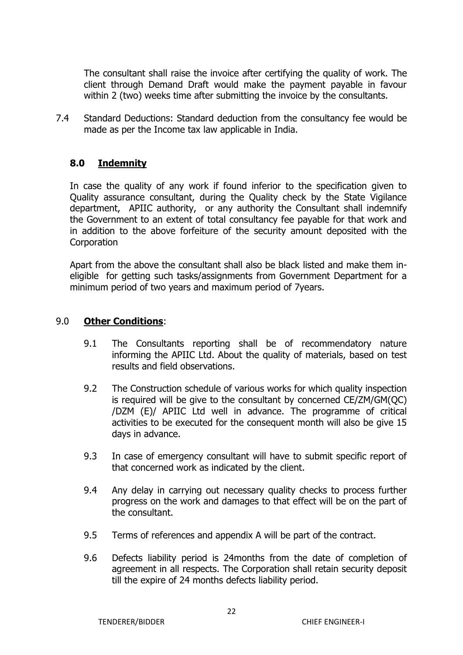The consultant shall raise the invoice after certifying the quality of work. The client through Demand Draft would make the payment payable in favour within 2 (two) weeks time after submitting the invoice by the consultants.

7.4 Standard Deductions: Standard deduction from the consultancy fee would be made as per the Income tax law applicable in India.

## **8.0 Indemnity**

In case the quality of any work if found inferior to the specification given to Quality assurance consultant, during the Quality check by the State Vigilance department, APIIC authority, or any authority the Consultant shall indemnify the Government to an extent of total consultancy fee payable for that work and in addition to the above forfeiture of the security amount deposited with the **Corporation** 

Apart from the above the consultant shall also be black listed and make them ineligible for getting such tasks/assignments from Government Department for a minimum period of two years and maximum period of 7years.

#### 9.0 **Other Conditions**:

- 9.1 The Consultants reporting shall be of recommendatory nature informing the APIIC Ltd. About the quality of materials, based on test results and field observations.
- 9.2 The Construction schedule of various works for which quality inspection is required will be give to the consultant by concerned CE/ZM/GM(QC) /DZM (E)/ APIIC Ltd well in advance. The programme of critical activities to be executed for the consequent month will also be give 15 days in advance.
- 9.3 In case of emergency consultant will have to submit specific report of that concerned work as indicated by the client.
- 9.4 Any delay in carrying out necessary quality checks to process further progress on the work and damages to that effect will be on the part of the consultant.
- 9.5 Terms of references and appendix A will be part of the contract.
- 9.6 Defects liability period is 24months from the date of completion of agreement in all respects. The Corporation shall retain security deposit till the expire of 24 months defects liability period.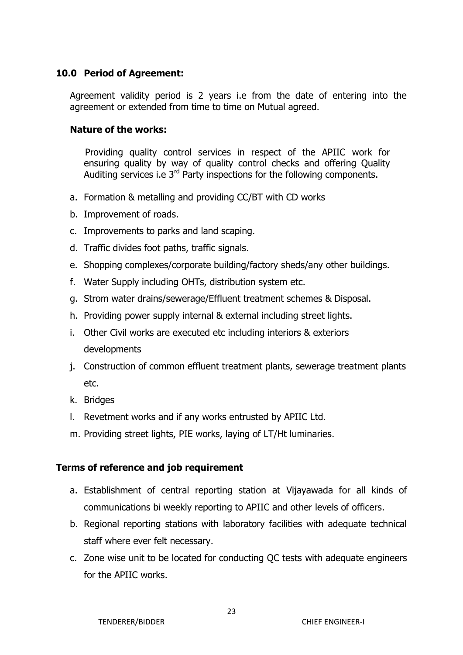#### **10.0 Period of Agreement:**

Agreement validity period is 2 years i.e from the date of entering into the agreement or extended from time to time on Mutual agreed.

#### **Nature of the works:**

 Providing quality control services in respect of the APIIC work for ensuring quality by way of quality control checks and offering Quality Auditing services i.e  $3^{rd}$  Party inspections for the following components.

- a. Formation & metalling and providing CC/BT with CD works
- b. Improvement of roads.
- c. Improvements to parks and land scaping.
- d. Traffic divides foot paths, traffic signals.
- e. Shopping complexes/corporate building/factory sheds/any other buildings.
- f. Water Supply including OHTs, distribution system etc.
- g. Strom water drains/sewerage/Effluent treatment schemes & Disposal.
- h. Providing power supply internal & external including street lights.
- i. Other Civil works are executed etc including interiors & exteriors developments
- j. Construction of common effluent treatment plants, sewerage treatment plants etc.
- k. Bridges
- l. Revetment works and if any works entrusted by APIIC Ltd.
- m. Providing street lights, PIE works, laying of LT/Ht luminaries.

#### **Terms of reference and job requirement**

- a. Establishment of central reporting station at Vijayawada for all kinds of communications bi weekly reporting to APIIC and other levels of officers.
- b. Regional reporting stations with laboratory facilities with adequate technical staff where ever felt necessary.
- c. Zone wise unit to be located for conducting QC tests with adequate engineers for the APIIC works.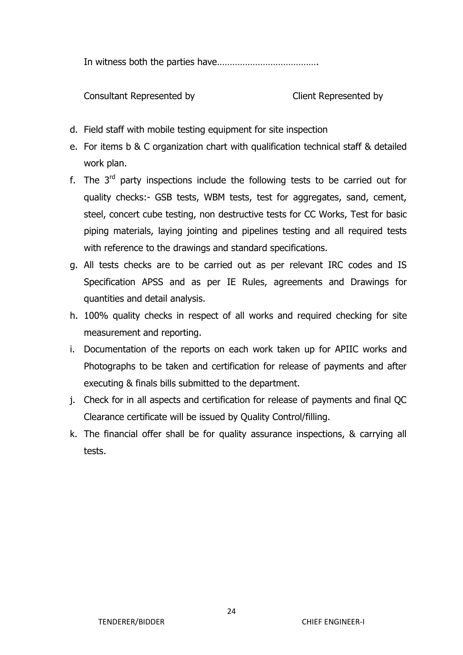In witness both the parties have………………………………….

Consultant Represented by Client Represented by

- d. Field staff with mobile testing equipment for site inspection
- e. For items b & C organization chart with qualification technical staff & detailed work plan.
- f. The  $3<sup>rd</sup>$  party inspections include the following tests to be carried out for quality checks:- GSB tests, WBM tests, test for aggregates, sand, cement, steel, concert cube testing, non destructive tests for CC Works, Test for basic piping materials, laying jointing and pipelines testing and all required tests with reference to the drawings and standard specifications.
- g. All tests checks are to be carried out as per relevant IRC codes and IS Specification APSS and as per IE Rules, agreements and Drawings for quantities and detail analysis.
- h. 100% quality checks in respect of all works and required checking for site measurement and reporting.
- i. Documentation of the reports on each work taken up for APIIC works and Photographs to be taken and certification for release of payments and after executing & finals bills submitted to the department.
- j. Check for in all aspects and certification for release of payments and final QC Clearance certificate will be issued by Quality Control/filling.
- k. The financial offer shall be for quality assurance inspections, & carrying all tests.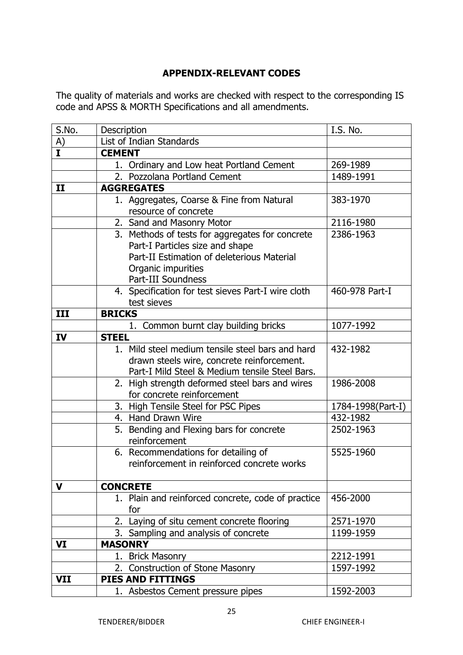#### **APPENDIX-RELEVANT CODES**

The quality of materials and works are checked with respect to the corresponding IS code and APSS & MORTH Specifications and all amendments.

| S.No.          | Description                                                                                                                                                                  | I.S. No.          |
|----------------|------------------------------------------------------------------------------------------------------------------------------------------------------------------------------|-------------------|
| $\frac{A)}{I}$ | List of Indian Standards                                                                                                                                                     |                   |
|                | <b>CEMENT</b>                                                                                                                                                                |                   |
|                | 1. Ordinary and Low heat Portland Cement                                                                                                                                     | 269-1989          |
|                | 2. Pozzolana Portland Cement                                                                                                                                                 | 1489-1991         |
| $\mathbf{I}$   | <b>AGGREGATES</b>                                                                                                                                                            |                   |
|                | 1. Aggregates, Coarse & Fine from Natural<br>resource of concrete                                                                                                            | 383-1970          |
|                | 2. Sand and Masonry Motor                                                                                                                                                    | 2116-1980         |
|                | 3. Methods of tests for aggregates for concrete<br>Part-I Particles size and shape<br>Part-II Estimation of deleterious Material<br>Organic impurities<br>Part-III Soundness | 2386-1963         |
|                | 4. Specification for test sieves Part-I wire cloth<br>test sieves                                                                                                            | 460-978 Part-I    |
| III            | <b>BRICKS</b>                                                                                                                                                                |                   |
|                | 1. Common burnt clay building bricks                                                                                                                                         | 1077-1992         |
| IV             | <b>STEEL</b>                                                                                                                                                                 |                   |
|                | 1. Mild steel medium tensile steel bars and hard<br>drawn steels wire, concrete reinforcement.<br>Part-I Mild Steel & Medium tensile Steel Bars.                             | 432-1982          |
|                | 2. High strength deformed steel bars and wires<br>for concrete reinforcement                                                                                                 | 1986-2008         |
|                | 3. High Tensile Steel for PSC Pipes                                                                                                                                          | 1784-1998(Part-I) |
|                | 4. Hand Drawn Wire                                                                                                                                                           | 432-1982          |
|                | 5. Bending and Flexing bars for concrete<br>reinforcement                                                                                                                    | 2502-1963         |
|                | 6. Recommendations for detailing of<br>reinforcement in reinforced concrete works                                                                                            | 5525-1960         |
| V              | <b>CONCRETE</b>                                                                                                                                                              |                   |
|                | 1. Plain and reinforced concrete, code of practice<br>for                                                                                                                    | 456-2000          |
|                | 2. Laying of situ cement concrete flooring                                                                                                                                   | 2571-1970         |
|                | 3. Sampling and analysis of concrete                                                                                                                                         | 1199-1959         |
| VI             | <b>MASONRY</b>                                                                                                                                                               |                   |
|                | 1. Brick Masonry                                                                                                                                                             | 2212-1991         |
|                | 2. Construction of Stone Masonry                                                                                                                                             | 1597-1992         |
| <b>VII</b>     | PIES AND FITTINGS                                                                                                                                                            |                   |
|                | 1. Asbestos Cement pressure pipes                                                                                                                                            | 1592-2003         |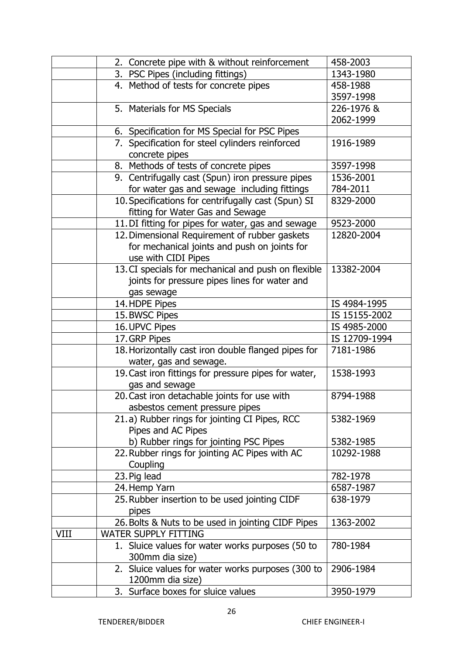|      | 2. Concrete pipe with & without reinforcement        | 458-2003      |
|------|------------------------------------------------------|---------------|
|      | 3. PSC Pipes (including fittings)                    | 1343-1980     |
|      | 4. Method of tests for concrete pipes                | 458-1988      |
|      |                                                      | 3597-1998     |
|      | 5. Materials for MS Specials                         | 226-1976 &    |
|      |                                                      | 2062-1999     |
|      | 6. Specification for MS Special for PSC Pipes        |               |
|      | 7. Specification for steel cylinders reinforced      | 1916-1989     |
|      | concrete pipes                                       |               |
|      | 8. Methods of tests of concrete pipes                | 3597-1998     |
|      | 9. Centrifugally cast (Spun) iron pressure pipes     | 1536-2001     |
|      | for water gas and sewage including fittings          | 784-2011      |
|      | 10. Specifications for centrifugally cast (Spun) SI  | 8329-2000     |
|      | fitting for Water Gas and Sewage                     |               |
|      | 11. DI fitting for pipes for water, gas and sewage   | 9523-2000     |
|      | 12. Dimensional Requirement of rubber gaskets        | 12820-2004    |
|      | for mechanical joints and push on joints for         |               |
|      | use with CIDI Pipes                                  |               |
|      | 13. CI specials for mechanical and push on flexible  | 13382-2004    |
|      | joints for pressure pipes lines for water and        |               |
|      | gas sewage                                           |               |
|      | 14. HDPE Pipes                                       | IS 4984-1995  |
|      | 15. BWSC Pipes                                       | IS 15155-2002 |
|      | 16. UPVC Pipes                                       | IS 4985-2000  |
|      | 17. GRP Pipes                                        | IS 12709-1994 |
|      | 18. Horizontally cast iron double flanged pipes for  | 7181-1986     |
|      | water, gas and sewage.                               |               |
|      | 19. Cast iron fittings for pressure pipes for water, | 1538-1993     |
|      | gas and sewage                                       |               |
|      | 20. Cast iron detachable joints for use with         | 8794-1988     |
|      | asbestos cement pressure pipes                       |               |
|      | 21.a) Rubber rings for jointing CI Pipes, RCC        | 5382-1969     |
|      | Pipes and AC Pipes                                   |               |
|      | b) Rubber rings for jointing PSC Pipes               | 5382-1985     |
|      | 22. Rubber rings for jointing AC Pipes with AC       | 10292-1988    |
|      | Coupling                                             |               |
|      | 23. Pig lead                                         | 782-1978      |
|      | 24. Hemp Yarn                                        | 6587-1987     |
|      | 25. Rubber insertion to be used jointing CIDF        | 638-1979      |
|      | pipes                                                |               |
|      | 26. Bolts & Nuts to be used in jointing CIDF Pipes   | 1363-2002     |
| VIII | <b>WATER SUPPLY FITTING</b>                          |               |
|      | 1. Sluice values for water works purposes (50 to     | 780-1984      |
|      | 300mm dia size)                                      |               |
|      | 2. Sluice values for water works purposes (300 to    | 2906-1984     |
|      | 1200mm dia size)                                     |               |
|      | 3. Surface boxes for sluice values                   | 3950-1979     |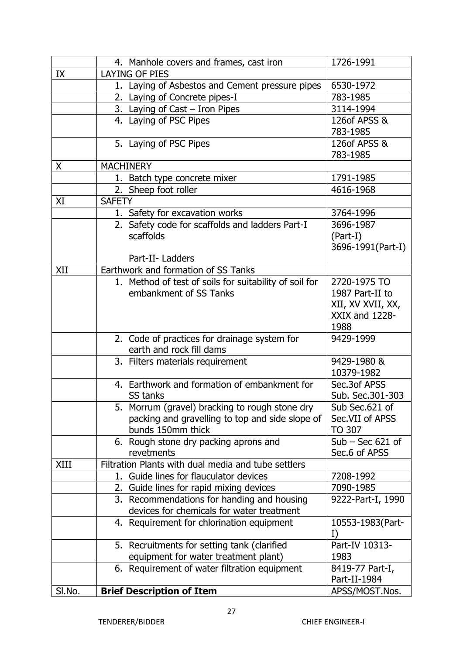|        | 4. Manhole covers and frames, cast iron                                  | 1726-1991          |
|--------|--------------------------------------------------------------------------|--------------------|
| IX     | <b>LAYING OF PIES</b>                                                    |                    |
|        | 1. Laying of Asbestos and Cement pressure pipes                          | 6530-1972          |
|        | 2. Laying of Concrete pipes-I                                            | 783-1985           |
|        | 3. Laying of Cast - Iron Pipes                                           | 3114-1994          |
|        | 4. Laying of PSC Pipes                                                   | 126of APSS &       |
|        |                                                                          | 783-1985           |
|        | 5. Laying of PSC Pipes                                                   | 126of APSS &       |
|        |                                                                          | 783-1985           |
| X.     | <b>MACHINERY</b>                                                         |                    |
|        | 1. Batch type concrete mixer                                             | 1791-1985          |
|        | 2. Sheep foot roller                                                     | 4616-1968          |
| XI     | <b>SAFETY</b>                                                            |                    |
|        | 1. Safety for excavation works                                           | 3764-1996          |
|        | 2. Safety code for scaffolds and ladders Part-I                          | 3696-1987          |
|        | scaffolds                                                                | $(Part-I)$         |
|        |                                                                          | 3696-1991(Part-I)  |
|        | Part-II- Ladders                                                         |                    |
| XII    | Earthwork and formation of SS Tanks                                      |                    |
|        | 1. Method of test of soils for suitability of soil for                   | 2720-1975 TO       |
|        | embankment of SS Tanks                                                   | 1987 Part-II to    |
|        |                                                                          | XII, XV XVII, XX,  |
|        |                                                                          | XXIX and 1228-     |
|        |                                                                          | 1988<br>9429-1999  |
|        | 2. Code of practices for drainage system for<br>earth and rock fill dams |                    |
|        | 3. Filters materials requirement                                         | 9429-1980 &        |
|        |                                                                          | 10379-1982         |
|        | 4. Earthwork and formation of embankment for                             | Sec.3of APSS       |
|        | SS tanks                                                                 | Sub. Sec.301-303   |
|        | 5. Morrum (gravel) bracking to rough stone dry                           | Sub Sec.621 of     |
|        | packing and gravelling to top and side slope of                          | Sec.VII of APSS    |
|        | bunds 150mm thick                                                        | TO 307             |
|        | 6. Rough stone dry packing aprons and                                    | $Sub - Sec 621$ of |
|        | revetments                                                               | Sec.6 of APSS      |
| XIII   | Filtration Plants with dual media and tube settlers                      |                    |
|        | 1. Guide lines for flauculator devices                                   | 7208-1992          |
|        | 2. Guide lines for rapid mixing devices                                  | 7090-1985          |
|        | 3. Recommendations for handing and housing                               | 9222-Part-I, 1990  |
|        | devices for chemicals for water treatment                                |                    |
|        | 4. Requirement for chlorination equipment                                | 10553-1983 (Part-  |
|        |                                                                          | I)                 |
|        | 5. Recruitments for setting tank (clarified                              | Part-IV 10313-     |
|        | equipment for water treatment plant)                                     | 1983               |
|        | 6. Requirement of water filtration equipment                             | 8419-77 Part-I,    |
|        |                                                                          | Part-II-1984       |
| SI.No. | <b>Brief Description of Item</b>                                         | APSS/MOST.Nos.     |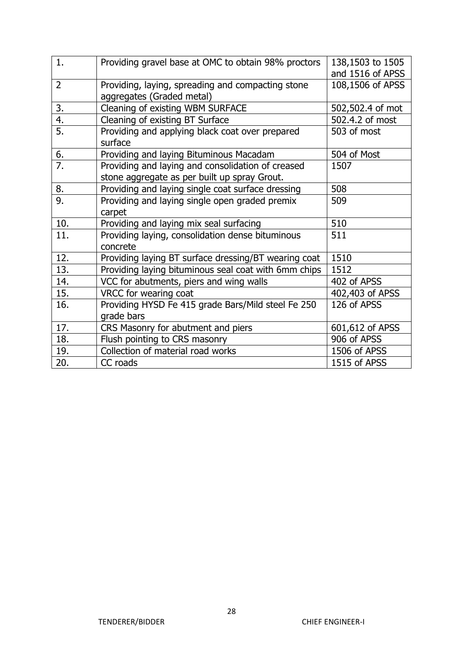| 1.               | Providing gravel base at OMC to obtain 98% proctors  | 138,1503 to 1505 |
|------------------|------------------------------------------------------|------------------|
|                  |                                                      | and 1516 of APSS |
| $\overline{2}$   | Providing, laying, spreading and compacting stone    | 108,1506 of APSS |
|                  | aggregates (Graded metal)                            |                  |
| 3.               | Cleaning of existing WBM SURFACE                     | 502,502.4 of mot |
| 4.               | Cleaning of existing BT Surface                      | 502.4.2 of most  |
| 5.               | Providing and applying black coat over prepared      | 503 of most      |
|                  | surface                                              |                  |
| 6.               | Providing and laying Bituminous Macadam              | 504 of Most      |
| $\overline{7}$ . | Providing and laying and consolidation of creased    | 1507             |
|                  | stone aggregate as per built up spray Grout.         |                  |
| 8.               | Providing and laying single coat surface dressing    | 508              |
| 9.               | Providing and laying single open graded premix       | 509              |
|                  | carpet                                               |                  |
| 10.              | Providing and laying mix seal surfacing              | 510              |
| 11.              | Providing laying, consolidation dense bituminous     | 511              |
|                  | concrete                                             |                  |
| 12.              | Providing laying BT surface dressing/BT wearing coat | 1510             |
| 13.              | Providing laying bituminous seal coat with 6mm chips | 1512             |
| 14.              | VCC for abutments, piers and wing walls              | 402 of APSS      |
| 15.              | VRCC for wearing coat                                | 402,403 of APSS  |
| 16.              | Providing HYSD Fe 415 grade Bars/Mild steel Fe 250   | 126 of APSS      |
|                  | grade bars                                           |                  |
| 17.              | CRS Masonry for abutment and piers                   | 601,612 of APSS  |
| 18.              | Flush pointing to CRS masonry                        | 906 of APSS      |
| 19.              | Collection of material road works                    | 1506 of APSS     |
| 20.              | CC roads                                             | 1515 of APSS     |